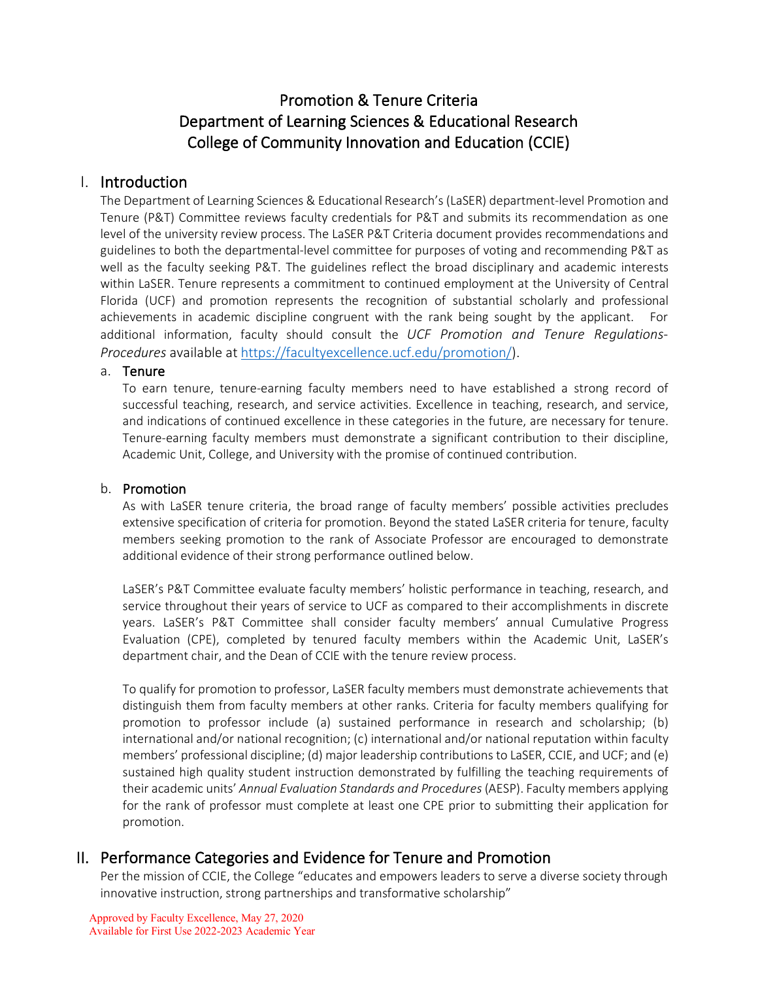# Promotion & Tenure Criteria Department of Learning Sciences & Educational Research College of Community Innovation and Education (CCIE)

## I. Introduction

The Department of Learning Sciences & Educational Research's (LaSER) department-level Promotion and Tenure (P&T) Committee reviews faculty credentials for P&T and submits its recommendation as one level of the university review process. The LaSER P&T Criteria document provides recommendations and guidelines to both the departmental-level committee for purposes of voting and recommending P&T as well as the faculty seeking P&T. The guidelines reflect the broad disciplinary and academic interests within LaSER. Tenure represents a commitment to continued employment at the University of Central Florida (UCF) and promotion represents the recognition of substantial scholarly and professional achievements in academic discipline congruent with the rank being sought by the applicant. For additional information, faculty should consult the *UCF Promotion and Tenure Regulations-Procedures* available a[t https://facultyexcellence.ucf.edu/promotion/\)](https://facultyexcellence.ucf.edu/promotion/).

#### a. Tenure

To earn tenure, tenure-earning faculty members need to have established a strong record of successful teaching, research, and service activities. Excellence in teaching, research, and service, and indications of continued excellence in these categories in the future, are necessary for tenure. Tenure-earning faculty members must demonstrate a significant contribution to their discipline, Academic Unit, College, and University with the promise of continued contribution.

## b. Promotion

As with LaSER tenure criteria, the broad range of faculty members' possible activities precludes extensive specification of criteria for promotion. Beyond the stated LaSER criteria for tenure, faculty members seeking promotion to the rank of Associate Professor are encouraged to demonstrate additional evidence of their strong performance outlined below.

LaSER's P&T Committee evaluate faculty members' holistic performance in teaching, research, and service throughout their years of service to UCF as compared to their accomplishments in discrete years. LaSER's P&T Committee shall consider faculty members' annual Cumulative Progress Evaluation (CPE), completed by tenured faculty members within the Academic Unit, LaSER's department chair, and the Dean of CCIE with the tenure review process.

To qualify for promotion to professor, LaSER faculty members must demonstrate achievements that distinguish them from faculty members at other ranks. Criteria for faculty members qualifying for promotion to professor include (a) sustained performance in research and scholarship; (b) international and/or national recognition; (c) international and/or national reputation within faculty members' professional discipline; (d) major leadership contributions to LaSER, CCIE, and UCF; and (e) sustained high quality student instruction demonstrated by fulfilling the teaching requirements of their academic units' *Annual Evaluation Standards and Procedures* (AESP). Faculty members applying for the rank of professor must complete at least one CPE prior to submitting their application for promotion.

## II. Performance Categories and Evidence for Tenure and Promotion

Per the mission of CCIE, the College "educates and empowers leaders to serve a diverse society through innovative instruction, strong partnerships and transformative scholarship"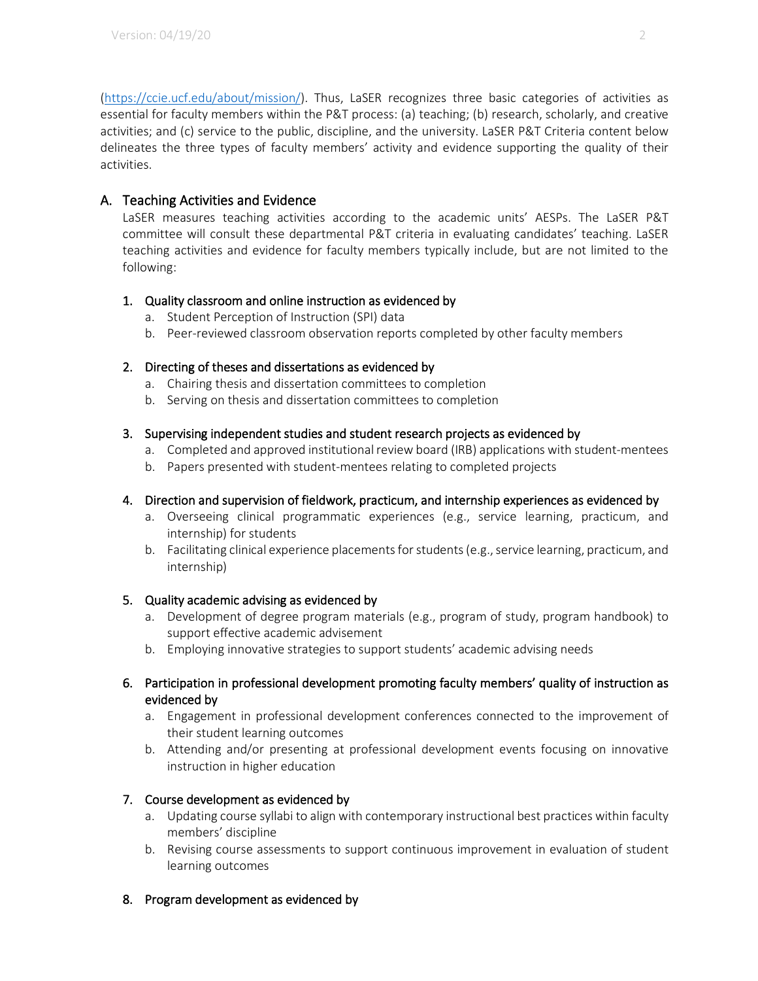[\(https://ccie.ucf.edu/about/mission/\)](https://ccie.ucf.edu/about/mission/). Thus, LaSER recognizes three basic categories of activities as essential for faculty members within the P&T process: (a) teaching; (b) research, scholarly, and creative activities; and (c) service to the public, discipline, and the university. LaSER P&T Criteria content below delineates the three types of faculty members' activity and evidence supporting the quality of their activities.

## A. Teaching Activities and Evidence

LaSER measures teaching activities according to the academic units' AESPs. The LaSER P&T committee will consult these departmental P&T criteria in evaluating candidates' teaching. LaSER teaching activities and evidence for faculty members typically include, but are not limited to the following:

## 1. Quality classroom and online instruction as evidenced by

- a. Student Perception of Instruction (SPI) data
- b. Peer-reviewed classroom observation reports completed by other faculty members

## 2. Directing of theses and dissertations as evidenced by

- a. Chairing thesis and dissertation committees to completion
- b. Serving on thesis and dissertation committees to completion

### 3. Supervising independent studies and student research projects as evidenced by

- a. Completed and approved institutional review board (IRB) applications with student-mentees
- b. Papers presented with student-mentees relating to completed projects

## 4. Direction and supervision of fieldwork, practicum, and internship experiences as evidenced by

- a. Overseeing clinical programmatic experiences (e.g., service learning, practicum, and internship) for students
- b. Facilitating clinical experience placements for students (e.g., service learning, practicum, and internship)

#### 5. Quality academic advising as evidenced by

- a. Development of degree program materials (e.g., program of study, program handbook) to support effective academic advisement
- b. Employing innovative strategies to support students' academic advising needs

### 6. Participation in professional development promoting faculty members' quality of instruction as evidenced by

- a. Engagement in professional development conferences connected to the improvement of their student learning outcomes
- b. Attending and/or presenting at professional development events focusing on innovative instruction in higher education

## 7. Course development as evidenced by

- a. Updating course syllabi to align with contemporary instructional best practices within faculty members' discipline
- b. Revising course assessments to support continuous improvement in evaluation of student learning outcomes

## 8. Program development as evidenced by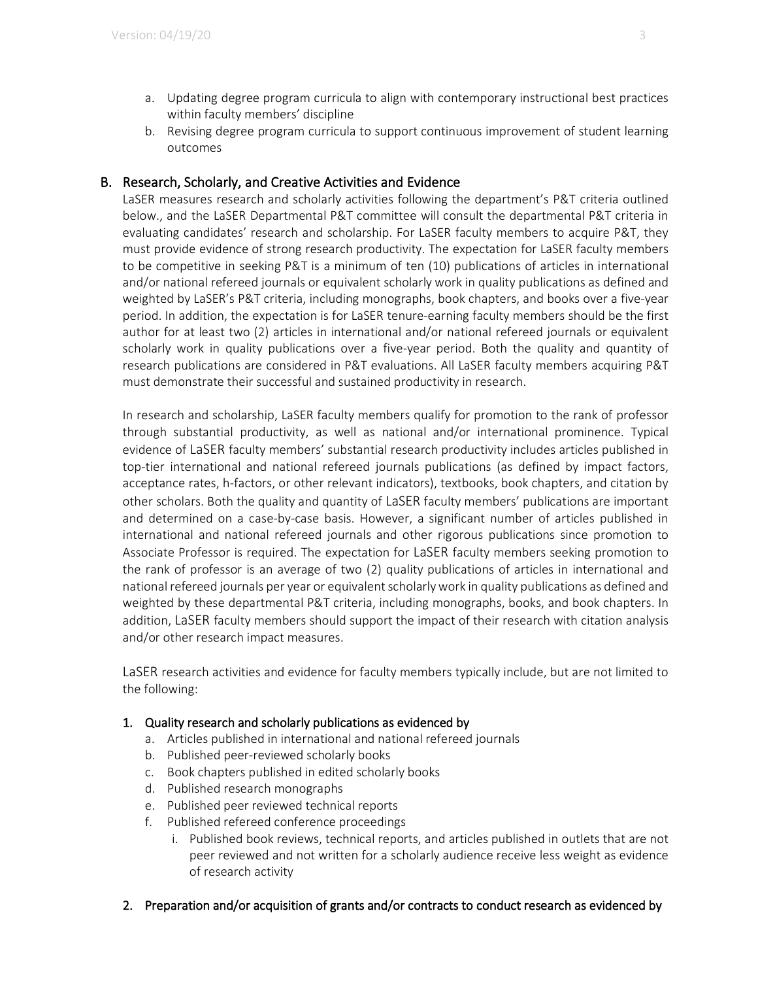- a. Updating degree program curricula to align with contemporary instructional best practices within faculty members' discipline
- b. Revising degree program curricula to support continuous improvement of student learning outcomes

## B. Research, Scholarly, and Creative Activities and Evidence

LaSER measures research and scholarly activities following the department's P&T criteria outlined below., and the LaSER Departmental P&T committee will consult the departmental P&T criteria in evaluating candidates' research and scholarship. For LaSER faculty members to acquire P&T, they must provide evidence of strong research productivity. The expectation for LaSER faculty members to be competitive in seeking P&T is a minimum of ten (10) publications of articles in international and/or national refereed journals or equivalent scholarly work in quality publications as defined and weighted by LaSER's P&T criteria, including monographs, book chapters, and books over a five-year period. In addition, the expectation is for LaSER tenure-earning faculty members should be the first author for at least two (2) articles in international and/or national refereed journals or equivalent scholarly work in quality publications over a five-year period. Both the quality and quantity of research publications are considered in P&T evaluations. All LaSER faculty members acquiring P&T must demonstrate their successful and sustained productivity in research.

In research and scholarship, LaSER faculty members qualify for promotion to the rank of professor through substantial productivity, as well as national and/or international prominence. Typical evidence of LaSER faculty members' substantial research productivity includes articles published in top-tier international and national refereed journals publications (as defined by impact factors, acceptance rates, h-factors, or other relevant indicators), textbooks, book chapters, and citation by other scholars. Both the quality and quantity of LaSER faculty members' publications are important and determined on a case-by-case basis. However, a significant number of articles published in international and national refereed journals and other rigorous publications since promotion to Associate Professor is required. The expectation for LaSER faculty members seeking promotion to the rank of professor is an average of two (2) quality publications of articles in international and national refereed journals per year or equivalent scholarly work in quality publications as defined and weighted by these departmental P&T criteria, including monographs, books, and book chapters. In addition, LaSER faculty members should support the impact of their research with citation analysis and/or other research impact measures.

LaSER research activities and evidence for faculty members typically include, but are not limited to the following:

#### 1. Quality research and scholarly publications as evidenced by

- a. Articles published in international and national refereed journals
- b. Published peer-reviewed scholarly books
- c. Book chapters published in edited scholarly books
- d. Published research monographs
- e. Published peer reviewed technical reports
- f. Published refereed conference proceedings
	- i. Published book reviews, technical reports, and articles published in outlets that are not peer reviewed and not written for a scholarly audience receive less weight as evidence of research activity
- 2. Preparation and/or acquisition of grants and/or contracts to conduct research as evidenced by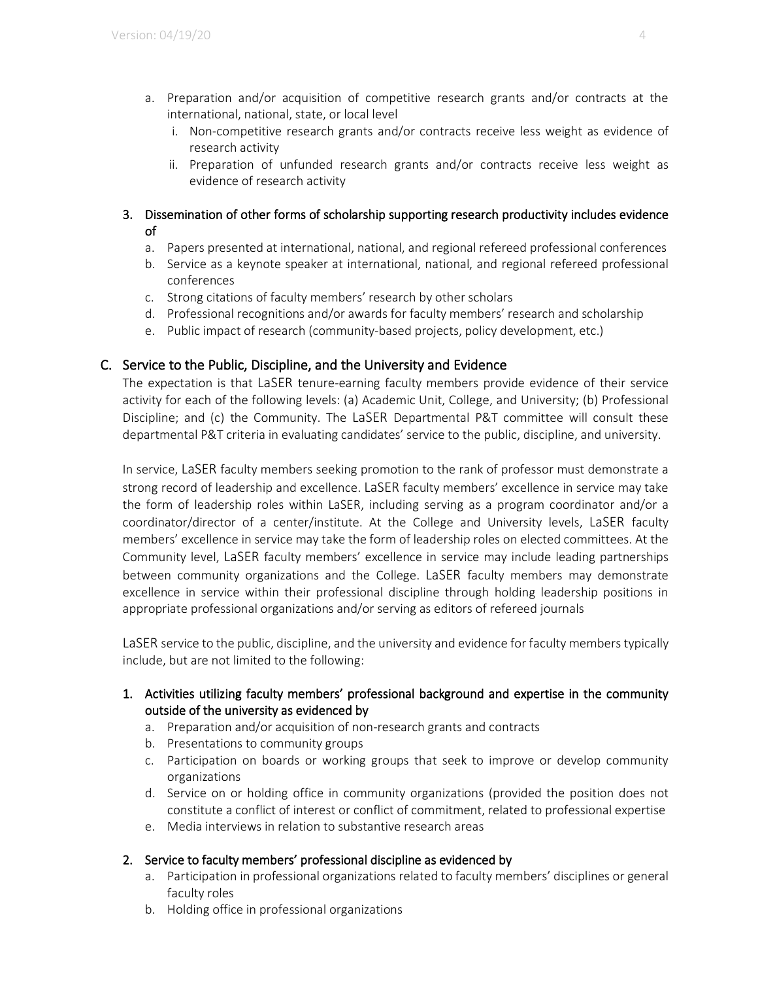- a. Preparation and/or acquisition of competitive research grants and/or contracts at the international, national, state, or local level
	- i. Non-competitive research grants and/or contracts receive less weight as evidence of research activity
	- ii. Preparation of unfunded research grants and/or contracts receive less weight as evidence of research activity

## 3. Dissemination of other forms of scholarship supporting research productivity includes evidence of

- a. Papers presented at international, national, and regional refereed professional conferences
- b. Service as a keynote speaker at international, national, and regional refereed professional conferences
- c. Strong citations of faculty members' research by other scholars
- d. Professional recognitions and/or awards for faculty members' research and scholarship
- e. Public impact of research (community-based projects, policy development, etc.)

## C. Service to the Public, Discipline, and the University and Evidence

The expectation is that LaSER tenure-earning faculty members provide evidence of their service activity for each of the following levels: (a) Academic Unit, College, and University; (b) Professional Discipline; and (c) the Community. The LaSER Departmental P&T committee will consult these departmental P&T criteria in evaluating candidates' service to the public, discipline, and university.

In service, LaSER faculty members seeking promotion to the rank of professor must demonstrate a strong record of leadership and excellence. LaSER faculty members' excellence in service may take the form of leadership roles within LaSER, including serving as a program coordinator and/or a coordinator/director of a center/institute. At the College and University levels, LaSER faculty members' excellence in service may take the form of leadership roles on elected committees. At the Community level, LaSER faculty members' excellence in service may include leading partnerships between community organizations and the College. LaSER faculty members may demonstrate excellence in service within their professional discipline through holding leadership positions in appropriate professional organizations and/or serving as editors of refereed journals

LaSER service to the public, discipline, and the university and evidence for faculty members typically include, but are not limited to the following:

- 1. Activities utilizing faculty members' professional background and expertise in the community outside of the university as evidenced by
	- a. Preparation and/or acquisition of non-research grants and contracts
	- b. Presentations to community groups
	- c. Participation on boards or working groups that seek to improve or develop community organizations
	- d. Service on or holding office in community organizations (provided the position does not constitute a conflict of interest or conflict of commitment, related to professional expertise
	- e. Media interviews in relation to substantive research areas

## 2. Service to faculty members' professional discipline as evidenced by

- a. Participation in professional organizations related to faculty members' disciplines or general faculty roles
- b. Holding office in professional organizations